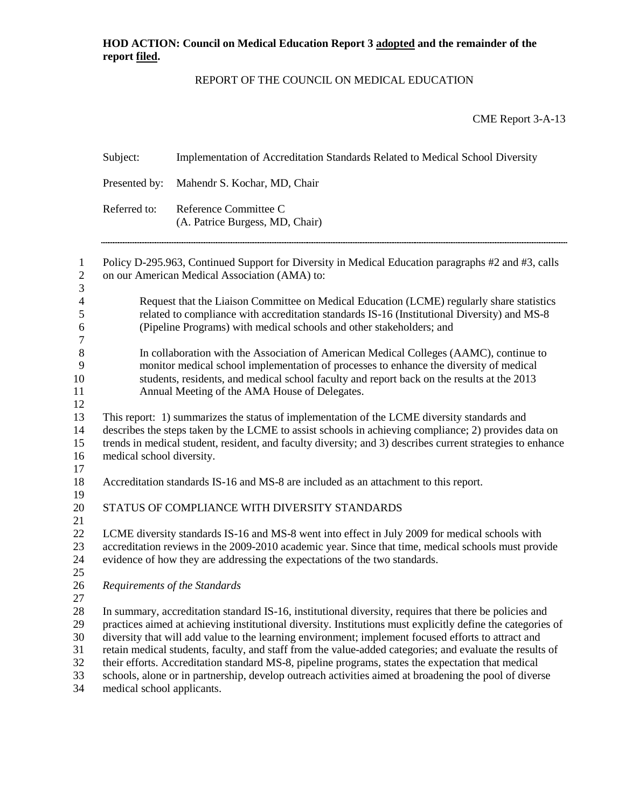# REPORT OF THE COUNCIL ON MEDICAL EDUCATION

CME Report 3-A-13

|                                        | Subject:                                                                                                                                                                                                                                                                                                                                                                                                                                                                                                                                                                                                                                                                              | Implementation of Accreditation Standards Related to Medical School Diversity                                                                                                                                                                                                       |  |  |  |
|----------------------------------------|---------------------------------------------------------------------------------------------------------------------------------------------------------------------------------------------------------------------------------------------------------------------------------------------------------------------------------------------------------------------------------------------------------------------------------------------------------------------------------------------------------------------------------------------------------------------------------------------------------------------------------------------------------------------------------------|-------------------------------------------------------------------------------------------------------------------------------------------------------------------------------------------------------------------------------------------------------------------------------------|--|--|--|
|                                        | Presented by:                                                                                                                                                                                                                                                                                                                                                                                                                                                                                                                                                                                                                                                                         | Mahendr S. Kochar, MD, Chair                                                                                                                                                                                                                                                        |  |  |  |
|                                        | Referred to:                                                                                                                                                                                                                                                                                                                                                                                                                                                                                                                                                                                                                                                                          | Reference Committee C<br>(A. Patrice Burgess, MD, Chair)                                                                                                                                                                                                                            |  |  |  |
| $\mathbf{1}$<br>$\mathbf{2}$<br>3      | Policy D-295.963, Continued Support for Diversity in Medical Education paragraphs #2 and #3, calls<br>on our American Medical Association (AMA) to:                                                                                                                                                                                                                                                                                                                                                                                                                                                                                                                                   |                                                                                                                                                                                                                                                                                     |  |  |  |
| $\overline{4}$<br>5<br>6<br>7          | Request that the Liaison Committee on Medical Education (LCME) regularly share statistics<br>related to compliance with accreditation standards IS-16 (Institutional Diversity) and MS-8<br>(Pipeline Programs) with medical schools and other stakeholders; and                                                                                                                                                                                                                                                                                                                                                                                                                      |                                                                                                                                                                                                                                                                                     |  |  |  |
| 8<br>9<br>10<br>11<br>12               | In collaboration with the Association of American Medical Colleges (AAMC), continue to<br>monitor medical school implementation of processes to enhance the diversity of medical<br>students, residents, and medical school faculty and report back on the results at the 2013<br>Annual Meeting of the AMA House of Delegates.                                                                                                                                                                                                                                                                                                                                                       |                                                                                                                                                                                                                                                                                     |  |  |  |
| 13<br>14<br>15<br>16<br>17             | This report: 1) summarizes the status of implementation of the LCME diversity standards and<br>describes the steps taken by the LCME to assist schools in achieving compliance; 2) provides data on<br>trends in medical student, resident, and faculty diversity; and 3) describes current strategies to enhance<br>medical school diversity.                                                                                                                                                                                                                                                                                                                                        |                                                                                                                                                                                                                                                                                     |  |  |  |
| 18<br>19                               |                                                                                                                                                                                                                                                                                                                                                                                                                                                                                                                                                                                                                                                                                       | Accreditation standards IS-16 and MS-8 are included as an attachment to this report.                                                                                                                                                                                                |  |  |  |
| 20<br>21                               | STATUS OF COMPLIANCE WITH DIVERSITY STANDARDS                                                                                                                                                                                                                                                                                                                                                                                                                                                                                                                                                                                                                                         |                                                                                                                                                                                                                                                                                     |  |  |  |
| 22<br>23<br>24<br>25                   |                                                                                                                                                                                                                                                                                                                                                                                                                                                                                                                                                                                                                                                                                       | LCME diversity standards IS-16 and MS-8 went into effect in July 2009 for medical schools with<br>accreditation reviews in the 2009-2010 academic year. Since that time, medical schools must provide<br>evidence of how they are addressing the expectations of the two standards. |  |  |  |
| 26<br>27                               | Requirements of the Standards                                                                                                                                                                                                                                                                                                                                                                                                                                                                                                                                                                                                                                                         |                                                                                                                                                                                                                                                                                     |  |  |  |
| 28<br>29<br>30<br>31<br>32<br>33<br>34 | In summary, accreditation standard IS-16, institutional diversity, requires that there be policies and<br>practices aimed at achieving institutional diversity. Institutions must explicitly define the categories of<br>diversity that will add value to the learning environment; implement focused efforts to attract and<br>retain medical students, faculty, and staff from the value-added categories; and evaluate the results of<br>their efforts. Accreditation standard MS-8, pipeline programs, states the expectation that medical<br>schools, alone or in partnership, develop outreach activities aimed at broadening the pool of diverse<br>medical school applicants. |                                                                                                                                                                                                                                                                                     |  |  |  |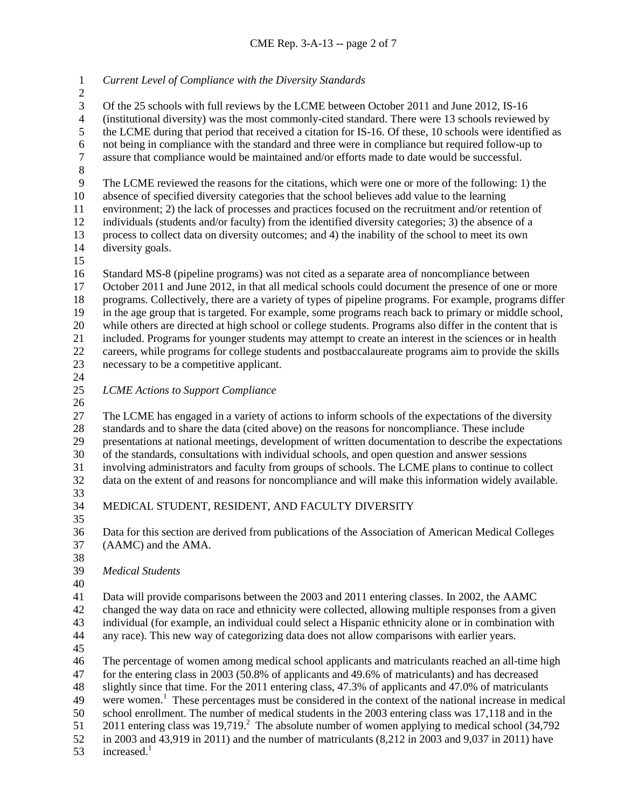*Current Level of Compliance with the Diversity Standards*

3 Of the 25 schools with full reviews by the LCME between October 2011 and June 2012, IS-16<br>4 (institutional diversity) was the most commonly-cited standard. There were 13 schools reviewed 4 (institutional diversity) was the most commonly-cited standard. There were 13 schools reviewed by<br>5 the LCME during that period that received a citation for IS-16. Of these, 10 schools were identified the LCME during that period that received a citation for IS-16. Of these, 10 schools were identified as 6 not being in compliance with the standard and three were in compliance but required follow-up to assure that compliance would be maintained and/or efforts made to date would be successful. assure that compliance would be maintained and/or efforts made to date would be successful.

 The LCME reviewed the reasons for the citations, which were one or more of the following: 1) the absence of specified diversity categories that the school believes add value to the learning

environment; 2) the lack of processes and practices focused on the recruitment and/or retention of

individuals (students and/or faculty) from the identified diversity categories; 3) the absence of a

13 process to collect data on diversity outcomes; and 4) the inability of the school to meet its own<br>14 diversity goals. diversity goals.

 Standard MS-8 (pipeline programs) was not cited as a separate area of noncompliance between October 2011 and June 2012, in that all medical schools could document the presence of one or more programs. Collectively, there are a variety of types of pipeline programs. For example, programs differ in the age group that is targeted. For example, some programs reach back to primary or middle school, 20 while others are directed at high school or college students. Programs also differ in the content that is<br>21 included. Programs for younger students may attempt to create an interest in the sciences or in health included. Programs for younger students may attempt to create an interest in the sciences or in health careers, while programs for college students and postbaccalaureate programs aim to provide the skills necessary to be a competitive applicant.

*LCME Actions to Support Compliance*

 The LCME has engaged in a variety of actions to inform schools of the expectations of the diversity standards and to share the data (cited above) on the reasons for noncompliance. These include presentations at national meetings, development of written documentation to describe the expectations of the standards, consultations with individual schools, and open question and answer sessions involving administrators and faculty from groups of schools. The LCME plans to continue to collect data on the extent of and reasons for noncompliance and will make this information widely available.

- 
- 

 MEDICAL STUDENT, RESIDENT, AND FACULTY DIVERSITY 

 Data for this section are derived from publications of the Association of American Medical Colleges (AAMC) and the AMA.

*Medical Students*

Data will provide comparisons between the 2003 and 2011 entering classes. In 2002, the AAMC

 changed the way data on race and ethnicity were collected, allowing multiple responses from a given individual (for example, an individual could select a Hispanic ethnicity alone or in combination with

any race). This new way of categorizing data does not allow comparisons with earlier years.

 The percentage of women among medical school applicants and matriculants reached an all-time high for the entering class in 2003 (50.8% of applicants and 49.6% of matriculants) and has decreased slightly since that time. For the 2011 entering class, 47.3% of applicants and 47.0% of matriculants 49 were women.<sup>1</sup> These percentages must be considered in the context of the national increase in medical school enrollment. The number of medical students in the 2003 entering class was 17,118 and in the entering class was  $19.719<sup>2</sup>$ . The absolute number of women applying to medical school (34,792) in 2003 and 43,919 in 2011) and the number of matriculants (8,212 in 2003 and 9,037 in 2011) have

53 increased.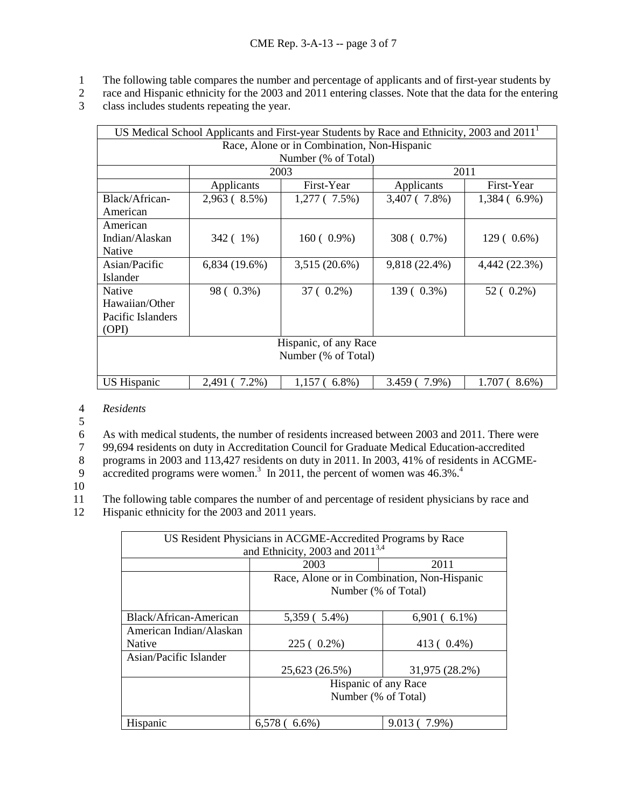- 1 The following table compares the number and percentage of applicants and of first-year students by
- 2 race and Hispanic ethnicity for the 2003 and 2011 entering classes. Note that the data for the entering
- 3 class includes students repeating the year.

| US Medical School Applicants and First-year Students by Race and Ethnicity, 2003 and 2011 <sup>1</sup> |                   |                        |                    |                  |  |  |  |
|--------------------------------------------------------------------------------------------------------|-------------------|------------------------|--------------------|------------------|--|--|--|
| Race, Alone or in Combination, Non-Hispanic                                                            |                   |                        |                    |                  |  |  |  |
| Number (% of Total)                                                                                    |                   |                        |                    |                  |  |  |  |
|                                                                                                        | 2003              |                        | 2011               |                  |  |  |  |
|                                                                                                        | Applicants        | First-Year             | Applicants         | First-Year       |  |  |  |
| Black/African-                                                                                         | $2,963(8.5\%)$    | $1,277$ ( $7.5\%$ )    | $3,407$ (7.8%)     | $1,384(6.9\%)$   |  |  |  |
| American                                                                                               |                   |                        |                    |                  |  |  |  |
| American                                                                                               |                   |                        |                    |                  |  |  |  |
| Indian/Alaskan                                                                                         | 342 (1%)          | $160(0.9\%)$           | 308 ( 0.7%)        | $129(0.6\%)$     |  |  |  |
| Native                                                                                                 |                   |                        |                    |                  |  |  |  |
| Asian/Pacific                                                                                          | $6,834(19.6\%)$   | $3,515(20.6\%)$        | 9,818 (22.4%)      | 4,442 (22.3%)    |  |  |  |
| Islander                                                                                               |                   |                        |                    |                  |  |  |  |
| Native                                                                                                 | 98 ( 0.3%)        | 37 ( 0.2%)             | 139 ( 0.3%)        | $52(0.2\%)$      |  |  |  |
| Hawaiian/Other                                                                                         |                   |                        |                    |                  |  |  |  |
| Pacific Islanders                                                                                      |                   |                        |                    |                  |  |  |  |
| (OPI)                                                                                                  |                   |                        |                    |                  |  |  |  |
| Hispanic, of any Race                                                                                  |                   |                        |                    |                  |  |  |  |
| Number (% of Total)                                                                                    |                   |                        |                    |                  |  |  |  |
|                                                                                                        |                   |                        |                    |                  |  |  |  |
| <b>US Hispanic</b>                                                                                     | $7.2%$ )<br>2,491 | $6.8\%$ )<br>$1,157$ ( | 3.459<br>$7.9\%$ ) | 1.707<br>$8.6\%$ |  |  |  |

4 *Residents*

5

6 As with medical students, the number of residents increased between 2003 and 2011. There were<br>
99,694 residents on duty in Accreditation Council for Graduate Medical Education-accredited

99,694 residents on duty in Accreditation Council for Graduate Medical Education-accredited<br>8 programs in 2003 and 113,427 residents on duty in 2011. In 2003, 41% of residents in ACGMI

8 programs in 2003 and 113,427 residents on duty in 2011. In 2003, 41% of residents in ACGME-<br>9 accredited programs were women.<sup>3</sup> In 2011, the percent of women was 46.3%.<sup>4</sup>

9 accredited programs were women.<sup>3</sup> In 2011, the percent of women was 46.3%.<sup>4</sup>

10

11 The following table compares the number of and percentage of resident physicians by race and

12 Hispanic ethnicity for the 2003 and 2011 years.

| US Resident Physicians in ACGME-Accredited Programs by Race |                                             |                  |  |  |  |  |  |
|-------------------------------------------------------------|---------------------------------------------|------------------|--|--|--|--|--|
| and Ethnicity, 2003 and $2011^{3,4}$                        |                                             |                  |  |  |  |  |  |
|                                                             |                                             |                  |  |  |  |  |  |
|                                                             | 2003                                        | 2011             |  |  |  |  |  |
|                                                             | Race, Alone or in Combination, Non-Hispanic |                  |  |  |  |  |  |
|                                                             | Number (% of Total)                         |                  |  |  |  |  |  |
|                                                             |                                             |                  |  |  |  |  |  |
| Black/African-American                                      | 5,359 ( 5.4%)                               | $6,901(6.1\%)$   |  |  |  |  |  |
| American Indian/Alaskan                                     |                                             |                  |  |  |  |  |  |
| <b>Native</b>                                               | $225(0.2\%)$                                | 413 ( 0.4%)      |  |  |  |  |  |
| Asian/Pacific Islander                                      |                                             |                  |  |  |  |  |  |
|                                                             | 25,623 (26.5%)                              | 31,975 (28.2%)   |  |  |  |  |  |
|                                                             | Hispanic of any Race                        |                  |  |  |  |  |  |
|                                                             | Number (% of Total)                         |                  |  |  |  |  |  |
|                                                             |                                             |                  |  |  |  |  |  |
| <b>Hispanic</b>                                             | 6.578<br>$6.6\%$                            | 9.013 (<br>7.9%) |  |  |  |  |  |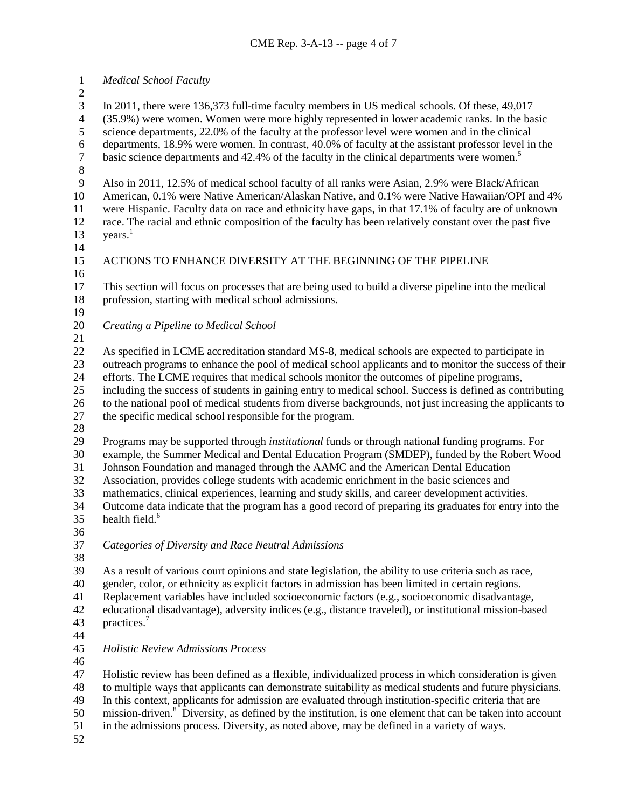*Medical School Faculty*

 In 2011, there were 136,373 full-time faculty members in US medical schools. Of these, 49,017 4 (35.9%) were women. Women were more highly represented in lower academic ranks. In the basic<br>5 science departments, 22.0% of the faculty at the professor level were women and in the clinical science departments, 22.0% of the faculty at the professor level were women and in the clinical 6 departments, 18.9% were women. In contrast, 40.0% of faculty at the assistant professor level in the basic science departments and 42.4% of the faculty in the clinical departments were women.<sup>5</sup> basic science departments and  $42.4\%$  of the faculty in the clinical departments were women.<sup>5</sup> Also in 2011, 12.5% of medical school faculty of all ranks were Asian, 2.9% were Black/African American, 0.1% were Native American/Alaskan Native, and 0.1% were Native Hawaiian/OPI and 4% were Hispanic. Faculty data on race and ethnicity have gaps, in that 17.1% of faculty are of unknown race. The racial and ethnic composition of the faculty has been relatively constant over the past five  $years.<sup>1</sup>$  ACTIONS TO ENHANCE DIVERSITY AT THE BEGINNING OF THE PIPELINE This section will focus on processes that are being used to build a diverse pipeline into the medical profession, starting with medical school admissions. *Creating a Pipeline to Medical School* As specified in LCME accreditation standard MS-8, medical schools are expected to participate in outreach programs to enhance the pool of medical school applicants and to monitor the success of their efforts. The LCME requires that medical schools monitor the outcomes of pipeline programs, including the success of students in gaining entry to medical school. Success is defined as contributing to the national pool of medical students from diverse backgrounds, not just increasing the applicants to the specific medical school responsible for the program. Programs may be supported through *institutional* funds or through national funding programs. For example, the Summer Medical and Dental Education Program (SMDEP), funded by the Robert Wood Johnson Foundation and managed through the AAMC and the American Dental Education Association, provides college students with academic enrichment in the basic sciences and mathematics, clinical experiences, learning and study skills, and career development activities. Outcome data indicate that the program has a good record of preparing its graduates for entry into the 35 health field.<sup>6</sup> *Categories of Diversity and Race Neutral Admissions* As a result of various court opinions and state legislation, the ability to use criteria such as race, gender, color, or ethnicity as explicit factors in admission has been limited in certain regions. Replacement variables have included socioeconomic factors (e.g., socioeconomic disadvantage, educational disadvantage), adversity indices (e.g., distance traveled), or institutional mission-based 43 practices.<sup>7</sup> *Holistic Review Admissions Process* Holistic review has been defined as a flexible, individualized process in which consideration is given to multiple ways that applicants can demonstrate suitability as medical students and future physicians. In this context, applicants for admission are evaluated through institution-specific criteria that are 50 mission-driven.<sup>8</sup> Diversity, as defined by the institution, is one element that can be taken into account in the admissions process. Diversity, as noted above, may be defined in a variety of ways.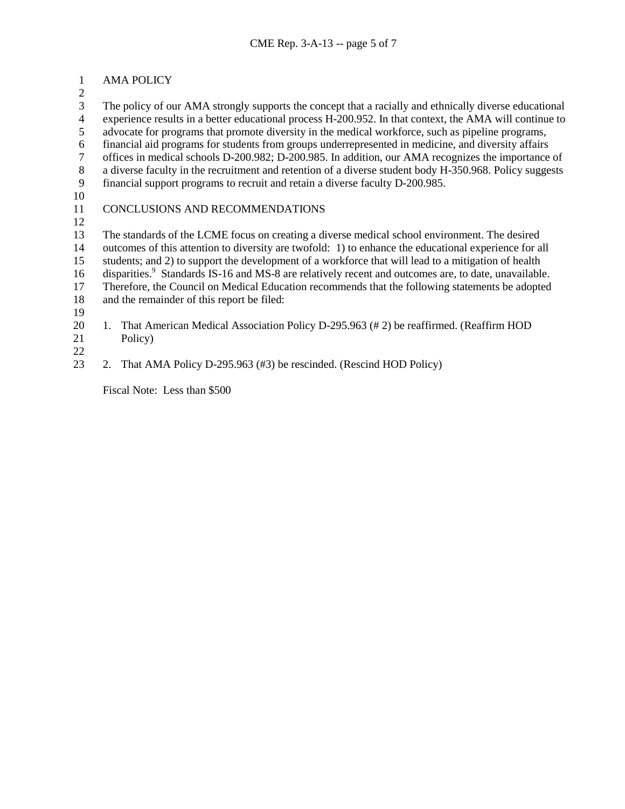# AMA POLICY

3 The policy of our AMA strongly supports the concept that a racially and ethnically diverse educational<br>4 experience results in a better educational process H-200.952. In that context, the AMA will continue to 4 experience results in a better educational process H-200.952. In that context, the AMA will continue to advocate for programs that promote diversity in the medical workforce, such as pipeline programs, advocate for programs that promote diversity in the medical workforce, such as pipeline programs, financial aid programs for students from groups underrepresented in medicine, and diversity affairs 7 offices in medical schools D-200.982; D-200.985. In addition, our AMA recognizes the importance of a diverse faculty in the recruitment and retention of a diverse student body H-350.968. Policy suggests a diverse faculty in the recruitment and retention of a diverse student body H-350.968. Policy suggests financial support programs to recruit and retain a diverse faculty D-200.985.

# CONCLUSIONS AND RECOMMENDATIONS

13 The standards of the LCME focus on creating a diverse medical school environment. The desired<br>14 outcomes of this attention to diversity are twofold: 1) to enhance the educational experience for a outcomes of this attention to diversity are twofold: 1) to enhance the educational experience for all students; and 2) to support the development of a workforce that will lead to a mitigation of health

16 disparities.<sup>9</sup> Standards IS-16 and MS-8 are relatively recent and outcomes are, to date, unavailable.

 Therefore, the Council on Medical Education recommends that the following statements be adopted and the remainder of this report be filed:

- 
- 

20 1. That American Medical Association Policy D-295.963 (#2) be reaffirmed. (Reaffirm HOD Policy)

2. That AMA Policy D-295.963 (#3) be rescinded. (Rescind HOD Policy)

Fiscal Note:Less than \$500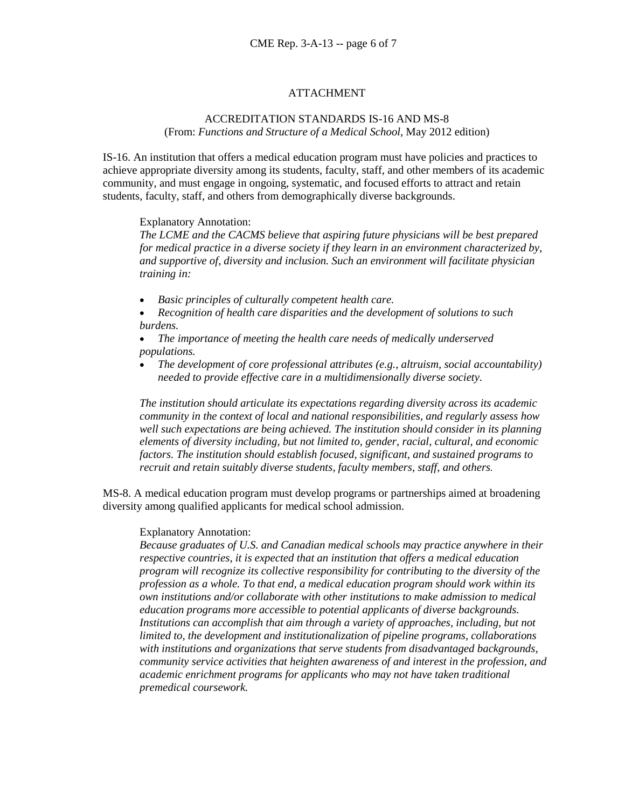### ATTACHMENT

#### ACCREDITATION STANDARDS IS-16 AND MS-8 (From: *Functions and Structure of a Medical School*, May 2012 edition)

IS-16. An institution that offers a medical education program must have policies and practices to achieve appropriate diversity among its students, faculty, staff, and other members of its academic community, and must engage in ongoing, systematic, and focused efforts to attract and retain students, faculty, staff, and others from demographically diverse backgrounds.

Explanatory Annotation:

*The LCME and the CACMS believe that aspiring future physicians will be best prepared for medical practice in a diverse society if they learn in an environment characterized by, and supportive of, diversity and inclusion. Such an environment will facilitate physician training in:*

- *Basic principles of culturally competent health care.*
- *Recognition of health care disparities and the development of solutions to such burdens.*
- *The importance of meeting the health care needs of medically underserved populations.*
- *The development of core professional attributes (e.g., altruism, social accountability) needed to provide effective care in a multidimensionally diverse society.*

*The institution should articulate its expectations regarding diversity across its academic community in the context of local and national responsibilities, and regularly assess how well such expectations are being achieved. The institution should consider in its planning elements of diversity including, but not limited to, gender, racial, cultural, and economic factors. The institution should establish focused, significant, and sustained programs to recruit and retain suitably diverse students, faculty members, staff, and others.*

MS-8. A medical education program must develop programs or partnerships aimed at broadening diversity among qualified applicants for medical school admission.

#### Explanatory Annotation:

*Because graduates of U.S. and Canadian medical schools may practice anywhere in their respective countries, it is expected that an institution that offers a medical education program will recognize its collective responsibility for contributing to the diversity of the profession as a whole. To that end, a medical education program should work within its own institutions and/or collaborate with other institutions to make admission to medical education programs more accessible to potential applicants of diverse backgrounds.*  Institutions can accomplish that aim through a variety of approaches, including, but not *limited to, the development and institutionalization of pipeline programs, collaborations with institutions and organizations that serve students from disadvantaged backgrounds, community service activities that heighten awareness of and interest in the profession, and academic enrichment programs for applicants who may not have taken traditional premedical coursework.*